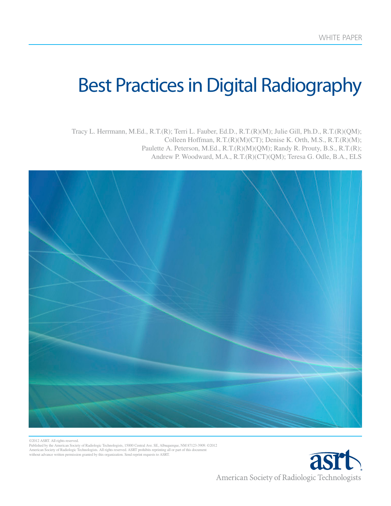WHE<del>T</del>

# Best Practices in Digital Radiography

 $\frac{1}{2}$  and  $\frac{1}{2}$ Tracy L. Herrmann, M.Ed., R.T.(R); Terri L. Fauber, Ed.D., R.T.(R)(M); Julie Gill, Ph.D., R.T.(R)(QM); Colleen Hoffman, R.T.(R)(M)(CT); Denise K. Orth, M.S., R.T.(R)(M); Paulette A. Peterson, M.Ed., R.T.(R)(M)(QM); Randy R. Prouty, B.S., R.T.(R); Andrew P. Woodward, M.A., R.T.(R)(CT)(QM); Teresa G. Odle, B.A., ELS



©2012 ASRT. All rights reserved. Published by the American Society of Radiologic Technologists, 15000 Central Ave. SE, Albuquerque, NM 87123-3909. ©2012 American Society of Radiologic Technologists. All rights reserved. ASRT prohibits reprinting all or part of this document without advance written permission granted by this organization. Send reprint requests to ASRT.

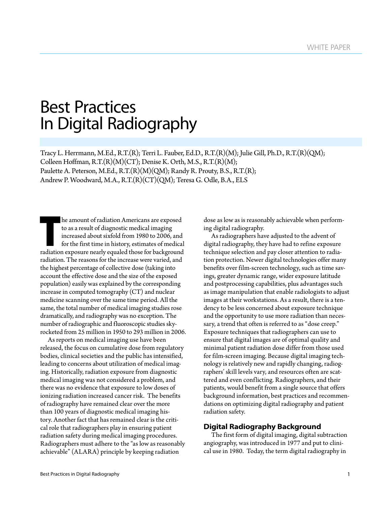## Best Practices In Digital Radiography

Tracy L. Herrmann, M.Ed., R.T.(R); Terri L. Fauber, Ed.D., R.T.(R)(M); Julie Gill, Ph.D., R.T.(R)(QM); Colleen Hoffman, R.T.(R)(M)(CT); Denise K. Orth, M.S., R.T.(R)(M); Paulette A. Peterson, M.Ed., R.T.(R)(M)(QM); Randy R. Prouty, B.S., R.T.(R); Andrew P. Woodward, M.A., R.T.(R)(CT)(QM); Teresa G. Odle, B.A., ELS

In the amount of radiation Americans are exposed<br>to as a result of diagnostic medical imaging<br>increased about sixfold from 1980 to 2006, and<br>for the first time in history, estimates of medica<br>radiation exposure nearly equa to as a result of diagnostic medical imaging increased about sixfold from 1980 to 2006, and for the first time in history, estimates of medical radiation exposure nearly equaled those for background radiation. The reasons for the increase were varied, and the highest percentage of collective dose (taking into account the effective dose and the size of the exposed population) easily was explained by the corresponding increase in computed tomography (CT) and nuclear medicine scanning over the same time period. All the same, the total number of medical imaging studies rose dramatically, and radiography was no exception. The number of radiographic and fluoroscopic studies skyrocketed from 25 million in 1950 to 293 million in 2006.

As reports on medical imaging use have been released, the focus on cumulative dose from regulatory bodies, clinical societies and the public has intensified, leading to concerns about utilization of medical imaging. Historically, radiation exposure from diagnostic medical imaging was not considered a problem, and there was no evidence that exposure to low doses of ionizing radiation increased cancer risk. The benefits of radiography have remained clear over the more than 100 years of diagnostic medical imaging history. Another fact that has remained clear is the critical role that radiographers play in ensuring patient radiation safety during medical imaging procedures. Radiographers must adhere to the "as low as reasonably achievable" (ALARA) principle by keeping radiation

dose as low as is reasonably achievable when performing digital radiography.

As radiographers have adjusted to the advent of digital radiography, they have had to refine exposure technique selection and pay closer attention to radiation protection. Newer digital technologies offer many benefits over film-screen technology, such as time savings, greater dynamic range, wider exposure latitude and postprocessing capabilities, plus advantages such as image manipulation that enable radiologists to adjust images at their workstations. As a result, there is a tendency to be less concerned about exposure technique and the opportunity to use more radiation than necessary, a trend that often is referred to as "dose creep." Exposure techniques that radiographers can use to ensure that digital images are of optimal quality and minimal patient radiation dose differ from those used for film-screen imaging. Because digital imaging technology is relatively new and rapidly changing, radiographers' skill levels vary, and resources often are scattered and even conflicting. Radiographers, and their patients, would benefit from a single source that offers background information, best practices and recommendations on optimizing digital radiography and patient radiation safety.

## **Digital Radiography Background**

The first form of digital imaging, digital subtraction angiography, was introduced in 1977 and put to clinical use in 1980. Today, the term digital radiography in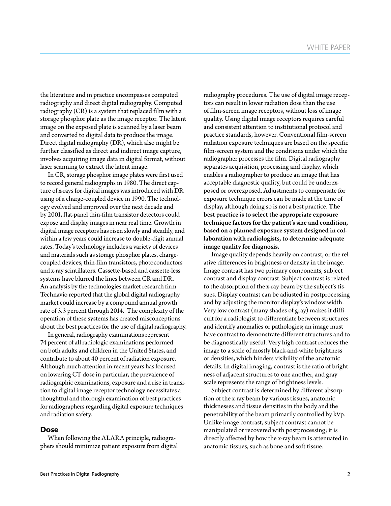the literature and in practice encompasses computed radiography and direct digital radiography. Computed radiography (CR) is a system that replaced film with a storage phosphor plate as the image receptor. The latent image on the exposed plate is scanned by a laser beam and converted to digital data to produce the image. Direct digital radiography (DR), which also might be further classified as direct and indirect image capture, involves acquiring image data in digital format, without laser scanning to extract the latent image.

In CR, storage phosphor image plates were first used to record general radiographs in 1980. The direct capture of x-rays for digital images was introduced with DR using of a charge-coupled device in 1990. The technology evolved and improved over the next decade and by 2001, flat-panel thin-film transistor detectors could expose and display images in near real time. Growth in digital image receptors has risen slowly and steadily, and within a few years could increase to double-digit annual rates. Today's technology includes a variety of devices and materials such as storage phosphor plates, chargecoupled devices, thin-film transistors, photoconductors and x-ray scintillators. Cassette-based and cassette-less systems have blurred the lines between CR and DR. An analysis by the technologies market research firm Technavio reported that the global digital radiography market could increase by a compound annual growth rate of 3.3 percent through 2014. The complexity of the operation of these systems has created misconceptions about the best practices for the use of digital radiography.

In general, radiography examinations represent 74 percent of all radiologic examinations performed on both adults and children in the United States, and contribute to about 40 percent of radiation exposure. Although much attention in recent years has focused on lowering CT dose in particular, the prevalence of radiographic examinations, exposure and a rise in transition to digital image receptor technology necessitates a thoughtful and thorough examination of best practices for radiographers regarding digital exposure techniques and radiation safety.

#### **Dose**

When following the ALARA principle, radiographers should minimize patient exposure from digital radiography procedures. The use of digital image receptors can result in lower radiation dose than the use of film-screen image receptors, without loss of image quality. Using digital image receptors requires careful and consistent attention to institutional protocol and practice standards, however. Conventional film-screen radiation exposure techniques are based on the specific film-screen system and the conditions under which the radiographer processes the film. Digital radiography separates acquisition, processing and display, which enables a radiographer to produce an image that has acceptable diagnostic quality, but could be underexposed or overexposed. Adjustments to compensate for exposure technique errors can be made at the time of display, although doing so is not a best practice. The best practice is to select the appropriate exposure technique factors for the patient's size and condition, based on a planned exposure system designed in collaboration with radiologists, to determine adequate image quality for diagnosis.

Image quality depends heavily on contrast, or the relative differences in brightness or density in the image. Image contrast has two primary components, subject contrast and display contrast. Subject contrast is related to the absorption of the x-ray beam by the subject's tissues. Display contrast can be adjusted in postprocessing and by adjusting the monitor display's window width. Very low contrast (many shades of gray) makes it difficult for a radiologist to differentiate between structures and identify anomalies or pathologies; an image must have contrast to demonstrate different structures and to be diagnostically useful. Very high contrast reduces the image to a scale of mostly black-and-white brightness or densities, which hinders visibility of the anatomic details. In digital imaging, contrast is the ratio of brightness of adjacent structures to one another, and gray scale represents the range of brightness levels.

Subject contrast is determined by different absorption of the x-ray beam by various tissues, anatomic thicknesses and tissue densities in the body and the penetrability of the beam primarily controlled by kVp. Unlike image contrast, subject contrast cannot be manipulated or recovered with postprocessing; it is directly affected by how the x-ray beam is attenuated in anatomic tissues, such as bone and soft tissue.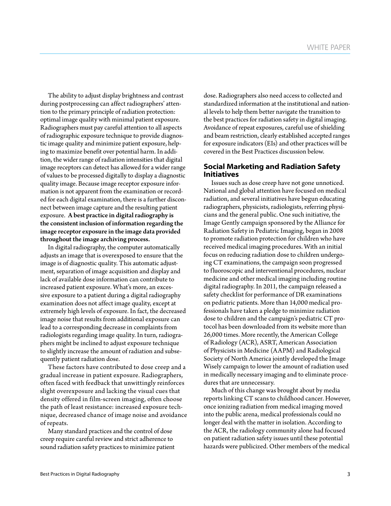The ability to adjust display brightness and contrast during postprocessing can affect radiographers' attention to the primary principle of radiation protection: optimal image quality with minimal patient exposure. Radiographers must pay careful attention to all aspects of radiographic exposure technique to provide diagnostic image quality and minimize patient exposure, helping to maximize benefit over potential harm. In addition, the wider range of radiation intensities that digital image receptors can detect has allowed for a wider range of values to be processed digitally to display a diagnostic quality image. Because image receptor exposure information is not apparent from the examination or recorded for each digital examination, there is a further disconnect between image capture and the resulting patient exposure. A best practice in digital radiography is the consistent inclusion of information regarding the image receptor exposure in the image data provided throughout the image archiving process.

In digital radiography, the computer automatically adjusts an image that is overexposed to ensure that the image is of diagnostic quality. This automatic adjustment, separation of image acquisition and display and lack of available dose information can contribute to increased patient exposure. What's more, an excessive exposure to a patient during a digital radiography examination does not affect image quality, except at extremely high levels of exposure. In fact, the decreased image noise that results from additional exposure can lead to a corresponding decrease in complaints from radiologists regarding image quality. In turn, radiographers might be inclined to adjust exposure technique to slightly increase the amount of radiation and subsequently patient radiation dose.

These factors have contributed to dose creep and a gradual increase in patient exposure. Radiographers, often faced with feedback that unwittingly reinforces slight overexposure and lacking the visual cues that density offered in film-screen imaging, often choose the path of least resistance: increased exposure technique, decreased chance of image noise and avoidance of repeats.

Many standard practices and the control of dose creep require careful review and strict adherence to sound radiation safety practices to minimize patient dose. Radiographers also need access to collected and standardized information at the institutional and national levels to help them better navigate the transition to the best practices for radiation safety in digital imaging. Avoidance of repeat exposures, careful use of shielding and beam restriction, clearly established accepted ranges for exposure indicators (EIs) and other practices will be covered in the Best Practices discussion below.

## **Social Marketing and Radiation Safety Initiatives**

Issues such as dose creep have not gone unnoticed. National and global attention have focused on medical radiation, and several initiatives have begun educating radiographers, physicists, radiologists, referring physicians and the general public. One such initiative, the Image Gently campaign sponsored by the Alliance for Radiation Safety in Pediatric Imaging, began in 2008 to promote radiation protection for children who have received medical imaging procedures. With an initial focus on reducing radiation dose to children undergoing CT examinations, the campaign soon progressed to fluoroscopic and interventional procedures, nuclear medicine and other medical imaging including routine digital radiography. In 2011, the campaign released a safety checklist for performance of DR examinations on pediatric patients. More than 14,000 medical professionals have taken a pledge to minimize radiation dose to children and the campaign's pediatric CT protocol has been downloaded from its website more than 26,000 times. More recently, the American College of Radiology (ACR), ASRT, American Association of Physicists in Medicine (AAPM) and Radiological Society of North America jointly developed the Image Wisely campaign to lower the amount of radiation used in medically necessary imaging and to eliminate procedures that are unnecessary.

Much of this change was brought about by media reports linking CT scans to childhood cancer. However, once ionizing radiation from medical imaging moved into the public arena, medical professionals could no longer deal with the matter in isolation. According to the ACR, the radiology community alone had focused on patient radiation safety issues until these potential hazards were publicized. Other members of the medical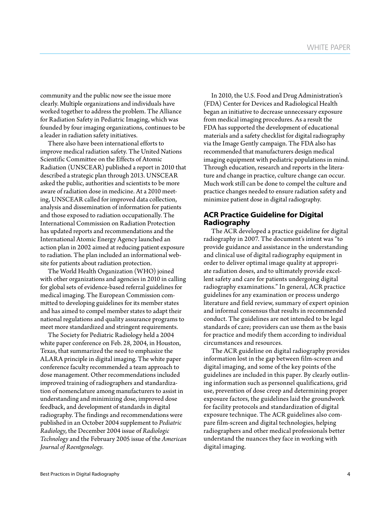community and the public now see the issue more clearly. Multiple organizations and individuals have worked together to address the problem. The Alliance for Radiation Safety in Pediatric Imaging, which was founded by four imaging organizations, continues to be a leader in radiation safety initiatives.

There also have been international efforts to improve medical radiation safety. The United Nations Scientific Committee on the Effects of Atomic Radiation (UNSCEAR) published a report in 2010 that described a strategic plan through 2013. UNSCEAR asked the public, authorities and scientists to be more aware of radiation dose in medicine. At a 2010 meeting, UNSCEAR called for improved data collection, analysis and dissemination of information for patients and those exposed to radiation occupationally. The International Commission on Radiation Protection has updated reports and recommendations and the International Atomic Energy Agency launched an action plan in 2002 aimed at reducing patient exposure to radiation. The plan included an informational website for patients about radiation protection.

The World Health Organization (WHO) joined with other organizations and agencies in 2010 in calling for global sets of evidence-based referral guidelines for medical imaging. The European Commission committed to developing guidelines for its member states and has aimed to compel member states to adapt their national regulations and quality assurance programs to meet more standardized and stringent requirements.

The Society for Pediatric Radiology held a 2004 white paper conference on Feb. 28, 2004, in Houston, Texas, that summarized the need to emphasize the ALARA principle in digital imaging. The white paper conference faculty recommended a team approach to dose management. Other recommendations included improved training of radiographers and standardization of nomenclature among manufacturers to assist in understanding and minimizing dose, improved dose feedback, and development of standards in digital radiography. The findings and recommendations were published in an October 2004 supplement to *Pediatric Radiology*, the December 2004 issue of *Radiologic Technology* and the February 2005 issue of the *American Journal of Roentgenology*.

In 2010, the U.S. Food and Drug Administration's (FDA) Center for Devices and Radiological Health began an initiative to decrease unnecessary exposure from medical imaging procedures. As a result the FDA has supported the development of educational materials and a safety checklist for digital radiography via the Image Gently campaign. The FDA also has recommended that manufacturers design medical imaging equipment with pediatric populations in mind. Through education, research and reports in the literature and change in practice, culture change can occur. Much work still can be done to compel the culture and practice changes needed to ensure radiation safety and minimize patient dose in digital radiography.

## **ACR Practice Guideline for Digital Radiography**

The ACR developed a practice guideline for digital radiography in 2007. The document's intent was "to provide guidance and assistance in the understanding and clinical use of digital radiography equipment in order to deliver optimal image quality at appropriate radiation doses, and to ultimately provide excellent safety and care for patients undergoing digital radiography examinations." In general, ACR practice guidelines for any examination or process undergo literature and field review, summary of expert opinion and informal consensus that results in recommended conduct. The guidelines are not intended to be legal standards of care; providers can use them as the basis for practice and modify them according to individual circumstances and resources.

The ACR guideline on digital radiography provides information lost in the gap between film-screen and digital imaging, and some of the key points of the guidelines are included in this paper. By clearly outlining information such as personnel qualifications, grid use, prevention of dose creep and determining proper exposure factors, the guidelines laid the groundwork for facility protocols and standardization of digital exposure technique. The ACR guidelines also compare film-screen and digital technologies, helping radiographers and other medical professionals better understand the nuances they face in working with digital imaging.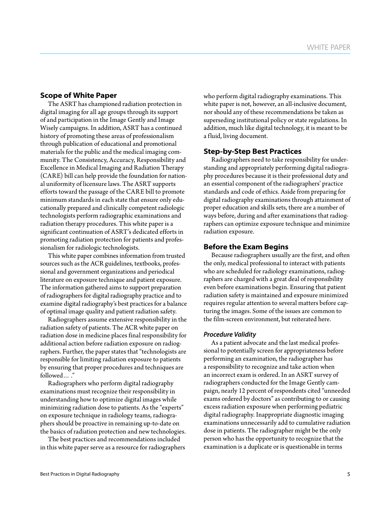## **Scope of White Paper**

The ASRT has championed radiation protection in digital imaging for all age groups through its support of and participation in the Image Gently and Image Wisely campaigns. In addition, ASRT has a continued history of promoting these areas of professionalism through publication of educational and promotional materials for the public and the medical imaging community. The Consistency, Accuracy, Responsibility and Excellence in Medical Imaging and Radiation Therapy (CARE) bill can help provide the foundation for national uniformity of licensure laws. The ASRT supports efforts toward the passage of the CARE bill to promote minimum standards in each state that ensure only educationally prepared and clinically competent radiologic technologists perform radiographic examinations and radiation therapy procedures. This white paper is a significant continuation of ASRT's dedicated efforts in promoting radiation protection for patients and professionalism for radiologic technologists.

This white paper combines information from trusted sources such as the ACR guidelines, textbooks, professional and government organizations and periodical literature on exposure technique and patient exposure. The information gathered aims to support preparation of radiographers for digital radiography practice and to examine digital radiography's best practices for a balance of optimal image quality and patient radiation safety.

Radiographers assume extensive responsibility in the radiation safety of patients. The ACR white paper on radiation dose in medicine places final responsibility for additional action before radiation exposure on radiographers. Further, the paper states that "technologists are responsible for limiting radiation exposure to patients by ensuring that proper procedures and techniques are followed… ."

Radiographers who perform digital radiography examinations must recognize their responsibility in understanding how to optimize digital images while minimizing radiation dose to patients. As the "experts" on exposure technique in radiology teams, radiographers should be proactive in remaining up-to-date on the basics of radiation protection and new technologies.

The best practices and recommendations included in this white paper serve as a resource for radiographers who perform digital radiography examinations. This white paper is not, however, an all-inclusive document, nor should any of these recommendations be taken as superseding institutional policy or state regulations. In addition, much like digital technology, it is meant to be a fluid, living document.

## **Step-by-Step Best Practices**

Radiographers need to take responsibility for understanding and appropriately performing digital radiography procedures because it is their professional duty and an essential component of the radiographers' practice standards and code of ethics. Aside from preparing for digital radiography examinations through attainment of proper education and skills sets, there are a number of ways before, during and after examinations that radiographers can optimize exposure technique and minimize radiation exposure.

## **Before the Exam Begins**

Because radiographers usually are the first, and often the only, medical professional to interact with patients who are scheduled for radiology examinations, radiographers are charged with a great deal of responsibility even before examinations begin. Ensuring that patient radiation safety is maintained and exposure minimized requires regular attention to several matters before capturing the images. Some of the issues are common to the film-screen environment, but reiterated here.

#### *Procedure Validity*

As a patient advocate and the last medical professional to potentially screen for appropriateness before performing an examination, the radiographer has a responsibility to recognize and take action when an incorrect exam is ordered. In an ASRT survey of radiographers conducted for the Image Gently campaign, nearly 12 percent of respondents cited "unneeded exams ordered by doctors" as contributing to or causing excess radiation exposure when performing pediatric digital radiography. Inappropriate diagnostic imaging examinations unnecessarily add to cumulative radiation dose in patients. The radiographer might be the only person who has the opportunity to recognize that the examination is a duplicate or is questionable in terms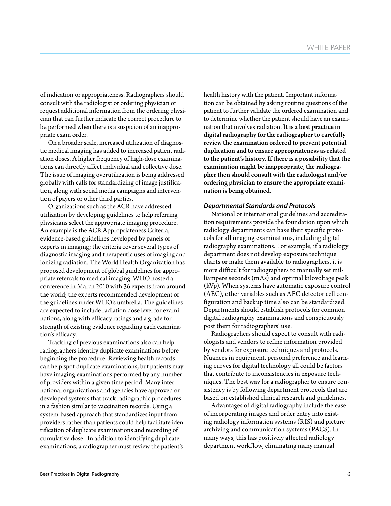of indication or appropriateness. Radiographers should consult with the radiologist or ordering physician or request additional information from the ordering physician that can further indicate the correct procedure to be performed when there is a suspicion of an inappropriate exam order.

On a broader scale, increased utilization of diagnostic medical imaging has added to increased patient radiation doses. A higher frequency of high-dose examinations can directly affect individual and collective dose. The issue of imaging overutilization is being addressed globally with calls for standardizing of image justification, along with social media campaigns and intervention of payers or other third parties.

Organizations such as the ACR have addressed utilization by developing guidelines to help referring physicians select the appropriate imaging procedure. An example is the ACR Appropriateness Criteria, evidence-based guidelines developed by panels of experts in imaging; the criteria cover several types of diagnostic imaging and therapeutic uses of imaging and ionizing radiation. The World Health Organization has proposed development of global guidelines for appropriate referrals to medical imaging. WHO hosted a conference in March 2010 with 36 experts from around the world; the experts recommended development of the guidelines under WHO's umbrella. The guidelines are expected to include radiation dose level for examinations, along with efficacy ratings and a grade for strength of existing evidence regarding each examination's efficacy.

Tracking of previous examinations also can help radiographers identify duplicate examinations before beginning the procedure. Reviewing health records can help spot duplicate examinations, but patients may have imaging examinations performed by any number of providers within a given time period. Many international organizations and agencies have approved or developed systems that track radiographic procedures in a fashion similar to vaccination records. Using a system-based approach that standardizes input from providers rather than patients could help facilitate identification of duplicate examinations and recording of cumulative dose. In addition to identifying duplicate examinations, a radiographer must review the patient's

health history with the patient. Important information can be obtained by asking routine questions of the patient to further validate the ordered examination and to determine whether the patient should have an examination that involves radiation. It is a best practice in digital radiography for the radiographer to carefully review the examination ordered to prevent potential duplication and to ensure appropriateness as related to the patient's history. If there is a possibility that the examination might be inappropriate, the radiographer then should consult with the radiologist and/or ordering physician to ensure the appropriate examination is being obtained.

#### *Departmental Standards and Protocols*

National or international guidelines and accreditation requirements provide the foundation upon which radiology departments can base their specific protocols for all imaging examinations, including digital radiography examinations. For example, if a radiology department does not develop exposure technique charts or make them available to radiographers, it is more difficult for radiographers to manually set milliampere seconds (mAs) and optimal kilovoltage peak (kVp). When systems have automatic exposure control (AEC), other variables such as AEC detector cell configuration and backup time also can be standardized. Departments should establish protocols for common digital radiography examinations and conspicuously post them for radiographers' use.

Radiographers should expect to consult with radiologists and vendors to refine information provided by vendors for exposure techniques and protocols. Nuances in equipment, personal preference and learning curves for digital technology all could be factors that contribute to inconsistencies in exposure techniques. The best way for a radiographer to ensure consistency is by following department protocols that are based on established clinical research and guidelines.

Advantages of digital radiography include the ease of incorporating images and order entry into existing radiology information systems (RIS) and picture archiving and communication systems (PACS). In many ways, this has positively affected radiology department workflow, eliminating many manual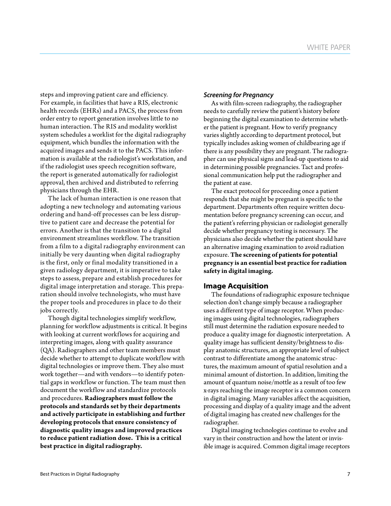steps and improving patient care and efficiency. For example, in facilities that have a RIS, electronic health records (EHRs) and a PACS, the process from order entry to report generation involves little to no human interaction. The RIS and modality worklist system schedules a worklist for the digital radiography equipment, which bundles the information with the acquired images and sends it to the PACS. This information is available at the radiologist's workstation, and if the radiologist uses speech recognition software, the report is generated automatically for radiologist approval, then archived and distributed to referring physicians through the EHR.

The lack of human interaction is one reason that adopting a new technology and automating various ordering and hand-off processes can be less disruptive to patient care and decrease the potential for errors. Another is that the transition to a digital environment streamlines workflow. The transition from a film to a digital radiography environment can initially be very daunting when digital radiography is the first, only or final modality transitioned in a given radiology department, it is imperative to take steps to assess, prepare and establish procedures for digital image interpretation and storage. This preparation should involve technologists, who must have the proper tools and procedures in place to do their jobs correctly.

Though digital technologies simplify workflow, planning for workflow adjustments is critical. It begins with looking at current workflows for acquiring and interpreting images, along with quality assurance (QA). Radiographers and other team members must decide whether to attempt to duplicate workflow with digital technologies or improve them. They also must work together—and with vendors—to identify potential gaps in workflow or function. The team must then document the workflow and standardize protocols and procedures. **Radiographers must follow the protocols and standards set by their departments and actively participate in establishing and further developing protocols that ensure consistency of diagnostic quality images and improved practices to reduce patient radiation dose. This is a critical best practice in digital radiography.**

#### *Screening for Pregnancy*

As with film-screen radiography, the radiographer needs to carefully review the patient's history before beginning the digital examination to determine whether the patient is pregnant. How to verify pregnancy varies slightly according to department protocol, but typically includes asking women of childbearing age if there is any possibility they are pregnant. The radiographer can use physical signs and lead-up questions to aid in determining possible pregnancies. Tact and professional communication help put the radiographer and the patient at ease.

The exact protocol for proceeding once a patient responds that she might be pregnant is specific to the department. Departments often require written documentation before pregnancy screening can occur, and the patient's referring physician or radiologist generally decide whether pregnancy testing is necessary. The physicians also decide whether the patient should have an alternative imaging examination to avoid radiation exposure. **The screening of patients for potential pregnancy is an essential best practice for radiation safety in digital imaging.**

#### **Image Acquisition**

The foundations of radiographic exposure technique selection don't change simply because a radiographer uses a different type of image receptor. When producing images using digital technologies, radiographers still must determine the radiation exposure needed to produce a quality image for diagnostic interpretation. A quality image has sufficient density/brightness to display anatomic structures, an appropriate level of subject contrast to differentiate among the anatomic structures, the maximum amount of spatial resolution and a minimal amount of distortion. In addition, limiting the amount of quantum noise/mottle as a result of too few x-rays reaching the image receptor is a common concern in digital imaging. Many variables affect the acquisition, processing and display of a quality image and the advent of digital imaging has created new challenges for the radiographer.

Digital imaging technologies continue to evolve and vary in their construction and how the latent or invisible image is acquired. Common digital image receptors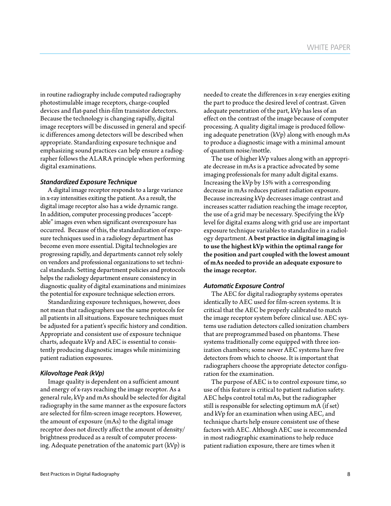in routine radiography include computed radiography photostimulable image receptors, charge-coupled devices and flat-panel thin-film transistor detectors. Because the technology is changing rapidly, digital image receptors will be discussed in general and specific differences among detectors will be described when appropriate. Standardizing exposure technique and emphasizing sound practices can help ensure a radiographer follows the ALARA principle when performing digital examinations.

#### *Standardized Exposure Technique*

A digital image receptor responds to a large variance in x-ray intensities exiting the patient. As a result, the digital image receptor also has a wide dynamic range. In addition, computer processing produces "acceptable" images even when significant overexposure has occurred. Because of this, the standardization of exposure techniques used in a radiology department has become even more essential. Digital technologies are progressing rapidly, and departments cannot rely solely on vendors and professional organizations to set technical standards. Setting department policies and protocols helps the radiology department ensure consistency in diagnostic quality of digital examinations and minimizes the potential for exposure technique selection errors.

Standardizing exposure techniques, however, does not mean that radiographers use the same protocols for all patients in all situations. Exposure techniques must be adjusted for a patient's specific history and condition. Appropriate and consistent use of exposure technique charts, adequate kVp and AEC is essential to consistently producing diagnostic images while minimizing patient radiation exposures.

#### *Kilovoltage Peak (kVp)*

Image quality is dependent on a sufficient amount and energy of x-rays reaching the image receptor. As a general rule, kVp and mAs should be selected for digital radiography in the same manner as the exposure factors are selected for film-screen image receptors. However, the amount of exposure (mAs) to the digital image receptor does not directly affect the amount of density/ brightness produced as a result of computer processing. Adequate penetration of the anatomic part (kVp) is

needed to create the differences in x-ray energies exiting the part to produce the desired level of contrast. Given adequate penetration of the part, kVp has less of an effect on the contrast of the image because of computer processing. A quality digital image is produced following adequate penetration (kVp) along with enough mAs to produce a diagnostic image with a minimal amount of quantum noise/mottle.

The use of higher kVp values along with an appropriate decrease in mAs is a practice advocated by some imaging professionals for many adult digital exams. Increasing the kVp by 15% with a corresponding decrease in mAs reduces patient radiation exposure. Because increasing kVp decreases image contrast and increases scatter radiation reaching the image receptor, the use of a grid may be necessary. Specifying the kVp level for digital exams along with grid use are important exposure technique variables to standardize in a radiology department. A best practice in digital imaging is to use the highest kVp within the optimal range for the position and part coupled with the lowest amount of mAs needed to provide an adequate exposure to the image receptor.

#### *Automatic Exposure Control*

The AEC for digital radiography systems operates identically to AEC used for film-screen systems. It is critical that the AEC be properly calibrated to match the image receptor system before clinical use. AEC systems use radiation detectors called ionization chambers that are preprogrammed based on phantoms. These systems traditionally come equipped with three ionization chambers; some newer AEC systems have five detectors from which to choose. It is important that radiographers choose the appropriate detector configuration for the examination.

The purpose of AEC is to control exposure time, so use of this feature is critical to patient radiation safety. AEC helps control total mAs, but the radiographer still is responsible for selecting optimum mA (if set) and kVp for an examination when using AEC, and technique charts help ensure consistent use of these factors with AEC. Although AEC use is recommended in most radiographic examinations to help reduce patient radiation exposure, there are times when it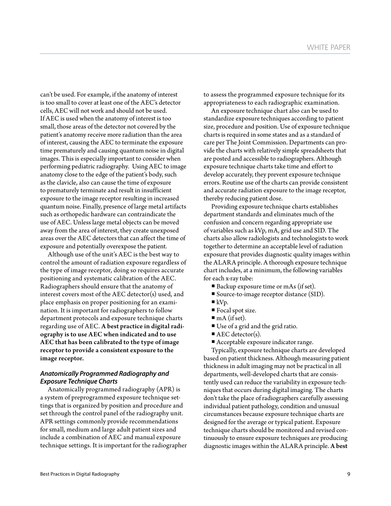can't be used. For example, if the anatomy of interest is too small to cover at least one of the AEC's detector cells, AEC will not work and should not be used. If AEC is used when the anatomy of interest is too small, those areas of the detector not covered by the patient's anatomy receive more radiation than the area of interest, causing the AEC to terminate the exposure time prematurely and causing quantum noise in digital images. This is especially important to consider when performing pediatric radiography. Using AEC to image anatomy close to the edge of the patient's body, such as the clavicle, also can cause the time of exposure to prematurely terminate and result in insufficient exposure to the image receptor resulting in increased quantum noise. Finally, presence of large metal artifacts such as orthopedic hardware can contraindicate the use of AEC. Unless large metal objects can be moved away from the area of interest, they create unexposed areas over the AEC detectors that can affect the time of exposure and potentially overexpose the patient.

Although use of the unit's AEC is the best way to control the amount of radiation exposure regardless of the type of image receptor, doing so requires accurate positioning and systematic calibration of the AEC. Radiographers should ensure that the anatomy of interest covers most of the AEC detector(s) used, and place emphasis on proper positioning for an examination. It is important for radiographers to follow department protocols and exposure technique charts regarding use of AEC. A best practice in digital radiography is to use AEC when indicated and to use AEC that has been calibrated to the type of image receptor to provide a consistent exposure to the image receptor.

## *Anatomically Programmed Radiography and Exposure Technique Charts*

Anatomically programmed radiography (APR) is a system of preprogrammed exposure technique settings that is organized by position and procedure and set through the control panel of the radiography unit. APR settings commonly provide recommendations for small, medium and large adult patient sizes and include a combination of AEC and manual exposure technique settings. It is important for the radiographer to assess the programmed exposure technique for its appropriateness to each radiographic examination.

An exposure technique chart also can be used to standardize exposure techniques according to patient size, procedure and position. Use of exposure technique charts is required in some states and as a standard of care per The Joint Commission. Departments can provide the charts with relatively simple spreadsheets that are posted and accessible to radiographers. Although exposure technique charts take time and effort to develop accurately, they prevent exposure technique errors. Routine use of the charts can provide consistent and accurate radiation exposure to the image receptor, thereby reducing patient dose.

Providing exposure technique charts establishes department standards and eliminates much of the confusion and concern regarding appropriate use of variables such as kVp, mA, grid use and SID. The charts also allow radiologists and technologists to work together to determine an acceptable level of radiation exposure that provides diagnostic quality images within the ALARA principle. A thorough exposure technique chart includes, at a minimum, the following variables for each x-ray tube:

- Backup exposure time or mAs (if set).
- Source-to-image receptor distance (SID).
- $\blacksquare$ kVp.
- Focal spot size.
- $\blacksquare$  mA (if set).
- Use of a grid and the grid ratio.
- $\blacksquare$  AEC detector(s).
- Acceptable exposure indicator range.

Typically, exposure technique charts are developed based on patient thickness. Although measuring patient thickness in adult imaging may not be practical in all departments, well-developed charts that are consistently used can reduce the variability in exposure techniques that occurs during digital imaging. The charts don't take the place of radiographers carefully assessing individual patient pathology, condition and unusual circumstances because exposure technique charts are designed for the average or typical patient. Exposure technique charts should be monitored and revised continuously to ensure exposure techniques are producing diagnostic images within the ALARA principle. A best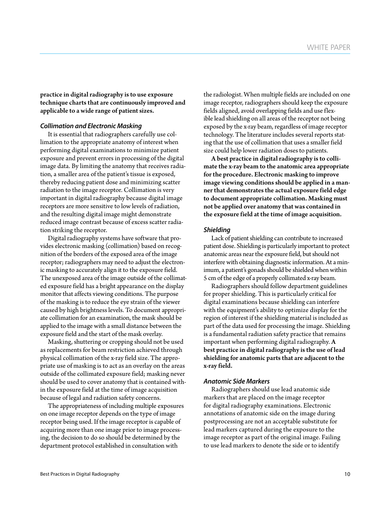practice in digital radiography is to use exposure technique charts that are continuously improved and applicable to a wide range of patient sizes.

#### *Collimation and Electronic Masking*

It is essential that radiographers carefully use collimation to the appropriate anatomy of interest when performing digital examinations to minimize patient exposure and prevent errors in processing of the digital image data. By limiting the anatomy that receives radiation, a smaller area of the patient's tissue is exposed, thereby reducing patient dose and minimizing scatter radiation to the image receptor. Collimation is very important in digital radiography because digital image receptors are more sensitive to low levels of radiation, and the resulting digital image might demonstrate reduced image contrast because of excess scatter radiation striking the receptor.

Digital radiography systems have software that provides electronic masking (collimation) based on recognition of the borders of the exposed area of the image receptor; radiographers may need to adjust the electronic masking to accurately align it to the exposure field. The unexposed area of the image outside of the collimated exposure field has a bright appearance on the display monitor that affects viewing conditions. The purpose of the masking is to reduce the eye strain of the viewer caused by high brightness levels. To document appropriate collimation for an examination, the mask should be applied to the image with a small distance between the exposure field and the start of the mask overlay.

Masking, shuttering or cropping should not be used as replacements for beam restriction achieved through physical collimation of the x-ray field size. The appropriate use of masking is to act as an overlay on the areas outside of the collimated exposure field; masking never should be used to cover anatomy that is contained within the exposure field at the time of image acquisition because of legal and radiation safety concerns.

The appropriateness of including multiple exposures on one image receptor depends on the type of image receptor being used. If the image receptor is capable of acquiring more than one image prior to image processing, the decision to do so should be determined by the department protocol established in consultation with

the radiologist. When multiple fields are included on one image receptor, radiographers should keep the exposure fields aligned, avoid overlapping fields and use flexible lead shielding on all areas of the receptor not being exposed by the x-ray beam, regardless of image receptor technology. The literature includes several reports stating that the use of collimation that uses a smaller field size could help lower radiation doses to patients.

A best practice in digital radiography is to collimate the x-ray beam to the anatomic area appropriate for the procedure. Electronic masking to improve image viewing conditions should be applied in a manner that demonstrates the actual exposure field edge to document appropriate collimation. Masking must not be applied over anatomy that was contained in the exposure field at the time of image acquisition.

#### *Shielding*

Lack of patient shielding can contribute to increased patient dose. Shielding is particularly important to protect anatomic areas near the exposure field, but should not interfere with obtaining diagnostic information. At a minimum, a patient's gonads should be shielded when within 5 cm of the edge of a properly collimated x-ray beam.

Radiographers should follow department guidelines for proper shielding. This is particularly critical for digital examinations because shielding can interfere with the equipment's ability to optimize display for the region of interest if the shielding material is included as part of the data used for processing the image. Shielding is a fundamental radiation safety practice that remains important when performing digital radiography. A best practice in digital radiography is the use of lead shielding for anatomic parts that are adjacent to the x-ray field.

#### *Anatomic Side Markers*

Radiographers should use lead anatomic side markers that are placed on the image receptor for digital radiography examinations. Electronic annotations of anatomic side on the image during postprocessing are not an acceptable substitute for lead markers captured during the exposure to the image receptor as part of the original image. Failing to use lead markers to denote the side or to identify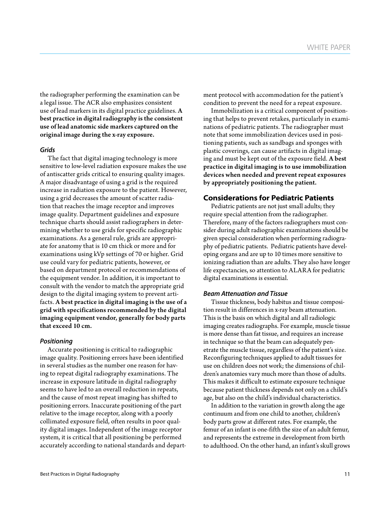the radiographer performing the examination can be a legal issue. The ACR also emphasizes consistent use of lead markers in its digital practice guidelines. A best practice in digital radiography is the consistent use of lead anatomic side markers captured on the original image during the x-ray exposure.

#### *Grids*

The fact that digital imaging technology is more sensitive to low-level radiation exposure makes the use of antiscatter grids critical to ensuring quality images. A major disadvantage of using a grid is the required increase in radiation exposure to the patient. However, using a grid decreases the amount of scatter radiation that reaches the image receptor and improves image quality. Department guidelines and exposure technique charts should assist radiographers in determining whether to use grids for specific radiographic examinations. As a general rule, grids are appropriate for anatomy that is 10 cm thick or more and for examinations using kVp settings of 70 or higher. Grid use could vary for pediatric patients, however, or based on department protocol or recommendations of the equipment vendor. In addition, it is important to consult with the vendor to match the appropriate grid design to the digital imaging system to prevent artifacts. A best practice in digital imaging is the use of a grid with specifications recommended by the digital imaging equipment vendor, generally for body parts that exceed 10 cm.

#### *Positioning*

Accurate positioning is critical to radiographic image quality. Positioning errors have been identified in several studies as the number one reason for having to repeat digital radiography examinations. The increase in exposure latitude in digital radiography seems to have led to an overall reduction in repeats, and the cause of most repeat imaging has shifted to positioning errors. Inaccurate positioning of the part relative to the image receptor, along with a poorly collimated exposure field, often results in poor quality digital images. Independent of the image receptor system, it is critical that all positioning be performed accurately according to national standards and department protocol with accommodation for the patient's condition to prevent the need for a repeat exposure.

Immobilization is a critical component of positioning that helps to prevent retakes, particularly in examinations of pediatric patients. The radiographer must note that some immobilization devices used in positioning patients, such as sandbags and sponges with plastic coverings, can cause artifacts in digital imaging and must be kept out of the exposure field. A best practice in digital imaging is to use immobilization devices when needed and prevent repeat exposures by appropriately positioning the patient.

## **Considerations for Pediatric Patients**

Pediatric patients are not just small adults; they require special attention from the radiographer. Therefore, many of the factors radiographers must consider during adult radiographic examinations should be given special consideration when performing radiography of pediatric patients. Pediatric patients have developing organs and are up to 10 times more sensitive to ionizing radiation than are adults. They also have longer life expectancies, so attention to ALARA for pediatric digital examinations is essential.

#### *Beam Attenuation and Tissue*

Tissue thickness, body habitus and tissue composition result in differences in x-ray beam attenuation. This is the basis on which digital and all radiologic imaging creates radiographs. For example, muscle tissue is more dense than fat tissue, and requires an increase in technique so that the beam can adequately penetrate the muscle tissue, regardless of the patient's size. Reconfiguring techniques applied to adult tissues for use on children does not work; the dimensions of children's anatomies vary much more than those of adults. This makes it difficult to estimate exposure technique because patient thickness depends not only on a child's age, but also on the child's individual characteristics.

In addition to the variation in growth along the age continuum and from one child to another, children's body parts grow at different rates. For example, the femur of an infant is one-fifth the size of an adult femur, and represents the extreme in development from birth to adulthood. On the other hand, an infant's skull grows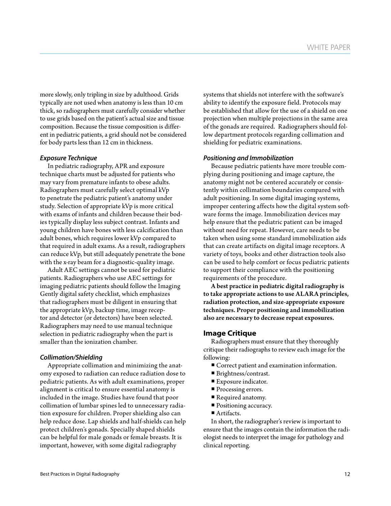more slowly, only tripling in size by adulthood. Grids typically are not used when anatomy is less than 10 cm thick, so radiographers must carefully consider whether to use grids based on the patient's actual size and tissue composition. Because the tissue composition is different in pediatric patients, a grid should not be considered for body parts less than 12 cm in thickness.

#### *Exposure Technique*

In pediatric radiography, APR and exposure technique charts must be adjusted for patients who may vary from premature infants to obese adults. Radiographers must carefully select optimal kVp to penetrate the pediatric patient's anatomy under study. Selection of appropriate kVp is more critical with exams of infants and children because their bodies typically display less subject contrast. Infants and young children have bones with less calcification than adult bones, which requires lower kVp compared to that required in adult exams. As a result, radiographers can reduce kVp, but still adequately penetrate the bone with the x-ray beam for a diagnostic-quality image.

Adult AEC settings cannot be used for pediatric patients. Radiographers who use AEC settings for imaging pediatric patients should follow the Imaging Gently digital safety checklist, which emphasizes that radiographers must be diligent in ensuring that the appropriate kVp, backup time, image receptor and detector (or detectors) have been selected. Radiographers may need to use manual technique selection in pediatric radiography when the part is smaller than the ionization chamber.

#### *Collimation/Shielding*

Appropriate collimation and minimizing the anatomy exposed to radiation can reduce radiation dose to pediatric patients. As with adult examinations, proper alignment is critical to ensure essential anatomy is included in the image. Studies have found that poor collimation of lumbar spines led to unnecessary radiation exposure for children. Proper shielding also can help reduce dose. Lap shields and half-shields can help protect children's gonads. Specially shaped shields can be helpful for male gonads or female breasts. It is important, however, with some digital radiography

systems that shields not interfere with the software's ability to identify the exposure field. Protocols may be established that allow for the use of a shield on one projection when multiple projections in the same area of the gonads are required. Radiographers should follow department protocols regarding collimation and shielding for pediatric examinations.

#### *Positioning and Immobilization*

Because pediatric patients have more trouble complying during positioning and image capture, the anatomy might not be centered accurately or consistently within collimation boundaries compared with adult positioning. In some digital imaging systems, improper centering affects how the digital system software forms the image. Immobilization devices may help ensure that the pediatric patient can be imaged without need for repeat. However, care needs to be taken when using some standard immobilization aids that can create artifacts on digital image receptors. A variety of toys, books and other distraction tools also can be used to help comfort or focus pediatric patients to support their compliance with the positioning requirements of the procedure.

A best practice in pediatric digital radiography is to take appropriate actions to use ALARA principles, radiation protection, and size-appropriate exposure techniques. Proper positioning and immobilization also are necessary to decrease repeat exposures.

#### **Image Critique**

Radiographers must ensure that they thoroughly critique their radiographs to review each image for the following:

- Correct patient and examination information.
- Brightness/contrast.
- Exposure indicator.
- **Processing errors.**
- Required anatomy.
- Positioning accuracy.
- Artifacts.

In short, the radiographer's review is important to ensure that the images contain the information the radiologist needs to interpret the image for pathology and clinical reporting.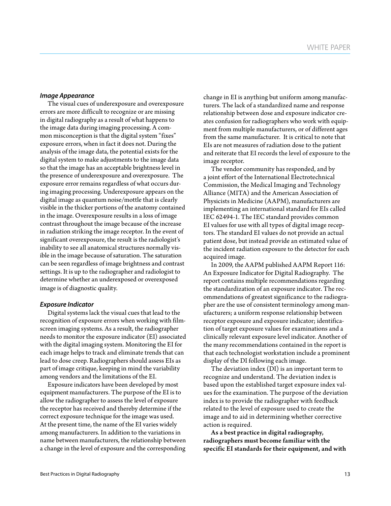#### *Image Appearance*

The visual cues of underexposure and overexposure errors are more difficult to recognize or are missing in digital radiography as a result of what happens to the image data during imaging processing. A common misconception is that the digital system "fixes" exposure errors, when in fact it does not. During the analysis of the image data, the potential exists for the digital system to make adjustments to the image data so that the image has an acceptable brightness level in the presence of underexposure and overexposure. The exposure error remains regardless of what occurs during imaging processing. Underexposure appears on the digital image as quantum noise/mottle that is clearly visible in the thicker portions of the anatomy contained in the image. Overexposure results in a loss of image contrast throughout the image because of the increase in radiation striking the image receptor. In the event of significant overexposure, the result is the radiologist's inability to see all anatomical structures normally visible in the image because of saturation. The saturation can be seen regardless of image brightness and contrast settings. It is up to the radiographer and radiologist to determine whether an underexposed or overexposed image is of diagnostic quality.

#### *Exposure Indicator*

Digital systems lack the visual cues that lead to the recognition of exposure errors when working with filmscreen imaging systems. As a result, the radiographer needs to monitor the exposure indicator (EI) associated with the digital imaging system. Monitoring the EI for each image helps to track and eliminate trends that can lead to dose creep. Radiographers should assess EIs as part of image critique, keeping in mind the variability among vendors and the limitations of the EI.

Exposure indicators have been developed by most equipment manufacturers. The purpose of the EI is to allow the radiographer to assess the level of exposure the receptor has received and thereby determine if the correct exposure technique for the image was used. At the present time, the name of the EI varies widely among manufacturers. In addition to the variations in name between manufacturers, the relationship between a change in the level of exposure and the corresponding change in EI is anything but uniform among manufacturers. The lack of a standardized name and response relationship between dose and exposure indicator creates confusion for radiographers who work with equipment from multiple manufacturers, or of different ages from the same manufacturer. It is critical to note that EIs are not measures of radiation dose to the patient and reiterate that EI records the level of exposure to the image receptor.

The vendor community has responded, and by a joint effort of the International Electrotechnical Commission, the Medical Imaging and Technology Alliance (MITA) and the American Association of Physicists in Medicine (AAPM), manufacturers are implementing an international standard for EIs called IEC 62494-1. The IEC standard provides common EI values for use with all types of digital image receptors. The standard EI values do not provide an actual patient dose, but instead provide an estimated value of the incident radiation exposure to the detector for each acquired image.

In 2009, the AAPM published AAPM Report 116: An Exposure Indicator for Digital Radiography. The report contains multiple recommendations regarding the standardization of an exposure indicator. The recommendations of greatest significance to the radiographer are the use of consistent terminology among manufacturers; a uniform response relationship between receptor exposure and exposure indicator; identification of target exposure values for examinations and a clinically relevant exposure level indicator. Another of the many recommendations contained in the report is that each technologist workstation include a prominent display of the DI following each image.

The deviation index (DI) is an important term to recognize and understand. The deviation index is based upon the established target exposure index values for the examination. The purpose of the deviation index is to provide the radiographer with feedback related to the level of exposure used to create the image and to aid in determining whether corrective action is required.

As a best practice in digital radiography, radiographers must become familiar with the specific EI standards for their equipment, and with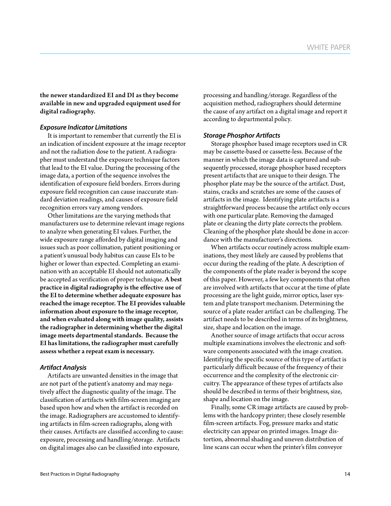the newer standardized EI and DI as they become available in new and upgraded equipment used for digital radiography.

#### *Exposure Indicator Limitations*

It is important to remember that currently the EI is an indication of incident exposure at the image receptor and not the radiation dose to the patient. A radiographer must understand the exposure technique factors that lead to the EI value. During the processing of the image data, a portion of the sequence involves the identification of exposure field borders. Errors during exposure field recognition can cause inaccurate standard deviation readings, and causes of exposure field recognition errors vary among vendors.

Other limitations are the varying methods that manufacturers use to determine relevant image regions to analyze when generating EI values. Further, the wide exposure range afforded by digital imaging and issues such as poor collimation, patient positioning or a patient's unusual body habitus can cause EIs to be higher or lower than expected. Completing an examination with an acceptable EI should not automatically be accepted as verification of proper technique. A best practice in digital radiography is the effective use of the EI to determine whether adequate exposure has reached the image receptor. The EI provides valuable information about exposure to the image receptor, and when evaluated along with image quality, assists the radiographer in determining whether the digital image meets departmental standards. Because the EI has limitations, the radiographer must carefully assess whether a repeat exam is necessary.

#### *Artifact Analysis*

Artifacts are unwanted densities in the image that are not part of the patient's anatomy and may negatively affect the diagnostic quality of the image. The classification of artifacts with film-screen imaging are based upon how and when the artifact is recorded on the image. Radiographers are accustomed to identifying artifacts in film-screen radiographs, along with their causes. Artifacts are classified according to cause: exposure, processing and handling/storage. Artifacts on digital images also can be classified into exposure,

processing and handling/storage. Regardless of the acquisition method, radiographers should determine the cause of any artifact on a digital image and report it according to departmental policy.

#### *Storage Phosphor Artifacts*

Storage phosphor based image receptors used in CR may be cassette-based or cassette-less. Because of the manner in which the image data is captured and subsequently processed, storage phosphor based receptors present artifacts that are unique to their design. The phosphor plate may be the source of the artifact. Dust, stains, cracks and scratches are some of the causes of artifacts in the image. Identifying plate artifacts is a straightforward process because the artifact only occurs with one particular plate. Removing the damaged plate or cleaning the dirty plate corrects the problem. Cleaning of the phosphor plate should be done in accordance with the manufacturer's directions.

When artifacts occur routinely across multiple examinations, they most likely are caused by problems that occur during the reading of the plate. A description of the components of the plate reader is beyond the scope of this paper. However, a few key components that often are involved with artifacts that occur at the time of plate processing are the light guide, mirror optics, laser system and plate transport mechanism. Determining the source of a plate reader artifact can be challenging. The artifact needs to be described in terms of its brightness, size, shape and location on the image.

Another source of image artifacts that occur across multiple examinations involves the electronic and software components associated with the image creation. Identifying the specific source of this type of artifact is particularly difficult because of the frequency of their occurrence and the complexity of the electronic circuitry. The appearance of these types of artifacts also should be described in terms of their brightness, size, shape and location on the image.

Finally, some CR image artifacts are caused by problems with the hardcopy printer; these closely resemble film-screen artifacts. Fog, pressure marks and static electricity can appear on printed images. Image distortion, abnormal shading and uneven distribution of line scans can occur when the printer's film conveyor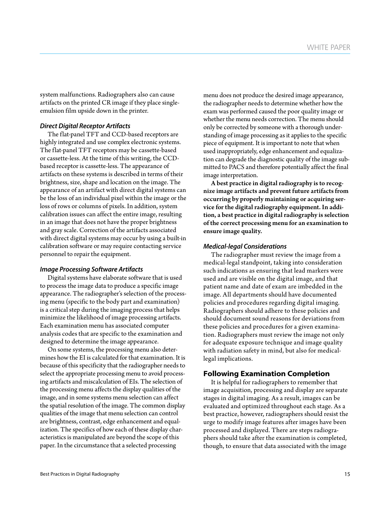system malfunctions. Radiographers also can cause artifacts on the printed CR image if they place singleemulsion film upside down in the printer.

#### *Direct Digital Receptor Artifacts*

The flat-panel TFT and CCD-based receptors are highly integrated and use complex electronic systems. The flat-panel TFT receptors may be cassette-based or cassette-less. At the time of this writing, the CCDbased receptor is cassette-less. The appearance of artifacts on these systems is described in terms of their brightness, size, shape and location on the image. The appearance of an artifact with direct digital systems can be the loss of an individual pixel within the image or the loss of rows or columns of pixels. In addition, system calibration issues can affect the entire image, resulting in an image that does not have the proper brightness and gray scale. Correction of the artifacts associated with direct digital systems may occur by using a built-in calibration software or may require contacting service personnel to repair the equipment.

#### *Image Processing Software Artifacts*

Digital systems have elaborate software that is used to process the image data to produce a specific image appearance. The radiographer's selection of the processing menu (specific to the body part and examination) is a critical step during the imaging process that helps minimize the likelihood of image processing artifacts. Each examination menu has associated computer analysis codes that are specific to the examination and designed to determine the image appearance.

On some systems, the processing menu also determines how the EI is calculated for that examination. It is because of this specificity that the radiographer needs to select the appropriate processing menu to avoid processing artifacts and miscalculation of EIs. The selection of the processing menu affects the display qualities of the image, and in some systems menu selection can affect the spatial resolution of the image. The common display qualities of the image that menu selection can control are brightness, contrast, edge enhancement and equalization. The specifics of how each of these display characteristics is manipulated are beyond the scope of this paper. In the circumstance that a selected processing

menu does not produce the desired image appearance, the radiographer needs to determine whether how the exam was performed caused the poor quality image or whether the menu needs correction. The menu should only be corrected by someone with a thorough understanding of image processing as it applies to the specific piece of equipment. It is important to note that when used inappropriately, edge enhancement and equalization can degrade the diagnostic quality of the image submitted to PACS and therefore potentially affect the final image interpretation.

A best practice in digital radiography is to recognize image artifacts and prevent future artifacts from occurring by properly maintaining or acquiring service for the digital radiography equipment. In addition, a best practice in digital radiography is selection of the correct processing menu for an examination to ensure image quality.

#### *Medical-legal Considerations*

The radiographer must review the image from a medical-legal standpoint, taking into consideration such indications as ensuring that lead markers were used and are visible on the digital image, and that patient name and date of exam are imbedded in the image. All departments should have documented policies and procedures regarding digital imaging. Radiographers should adhere to these policies and should document sound reasons for deviations from these policies and procedures for a given examination. Radiographers must review the image not only for adequate exposure technique and image quality with radiation safety in mind, but also for medicallegal implications.

#### **Following Examination Completion**

It is helpful for radiographers to remember that image acquisition, processing and display are separate stages in digital imaging. As a result, images can be evaluated and optimized throughout each stage. As a best practice, however, radiographers should resist the urge to modify image features after images have been processed and displayed. There are steps radiographers should take after the examination is completed, though, to ensure that data associated with the image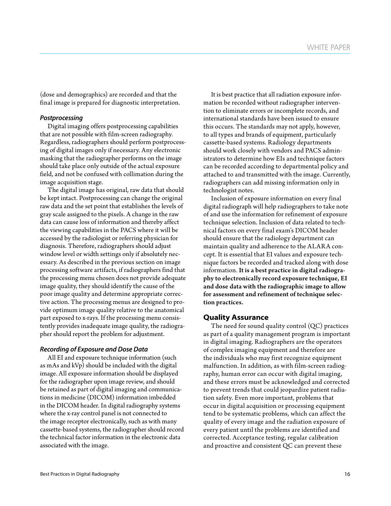(dose and demographics) are recorded and that the final image is prepared for diagnostic interpretation.

#### *Postprocessing*

Digital imaging offers postprocessing capabilities that are not possible with film-screen radiography. Regardless, radiographers should perform postprocessing of digital images only if necessary. Any electronic masking that the radiographer performs on the image should take place only outside of the actual exposure field, and not be confused with collimation during the image acquisition stage.

The digital image has original, raw data that should be kept intact. Postprocessing can change the original raw data and the set point that establishes the levels of gray scale assigned to the pixels. A change in the raw data can cause loss of information and thereby affect the viewing capabilities in the PACS where it will be accessed by the radiologist or referring physician for diagnosis. Therefore, radiographers should adjust window level or width settings only if absolutely necessary. As described in the previous section on image processing software artifacts, if radiographers find that the processing menu chosen does not provide adequate image quality, they should identify the cause of the poor image quality and determine appropriate corrective action. The processing menus are designed to provide optimum image quality relative to the anatomical part exposed to x-rays. If the processing menu consistently provides inadequate image quality, the radiographer should report the problem for adjustment.

#### *Recording of Exposure and Dose Data*

All EI and exposure technique information (such as mAs and kVp) should be included with the digital image. All exposure information should be displayed for the radiographer upon image review, and should be retained as part of digital imaging and communications in medicine (DICOM) information imbedded in the DICOM header. In digital radiography systems where the x-ray control panel is not connected to the image receptor electronically, such as with many cassette-based systems, the radiographer should record the technical factor information in the electronic data associated with the image.

It is best practice that all radiation exposure information be recorded without radiographer intervention to eliminate errors or incomplete records, and international standards have been issued to ensure this occurs. The standards may not apply, however, to all types and brands of equipment, particularly cassette-based systems. Radiology departments should work closely with vendors and PACS administrators to determine how EIs and technique factors can be recorded according to departmental policy and attached to and transmitted with the image. Currently, radiographers can add missing information only in technologist notes.

Inclusion of exposure information on every final digital radiograph will help radiographers to take note of and use the information for refinement of exposure technique selection. Inclusion of data related to technical factors on every final exam's DICOM header should ensure that the radiology department can maintain quality and adherence to the ALARA concept. It is essential that EI values and exposure technique factors be recorded and tracked along with dose information. It is a best practice in digital radiography to electronically record exposure technique, EI and dose data with the radiographic image to allow for assessment and refinement of technique selection practices.

#### **Quality Assurance**

The need for sound quality control (QC) practices as part of a quality management program is important in digital imaging. Radiographers are the operators of complex imaging equipment and therefore are the individuals who may first recognize equipment malfunction. In addition, as with film-screen radiography, human error can occur with digital imaging, and these errors must be acknowledged and corrected to prevent trends that could jeopardize patient radiation safety. Even more important, problems that occur in digital acquisition or processing equipment tend to be systematic problems, which can affect the quality of every image and the radiation exposure of every patient until the problems are identified and corrected. Acceptance testing, regular calibration and proactive and consistent QC can prevent these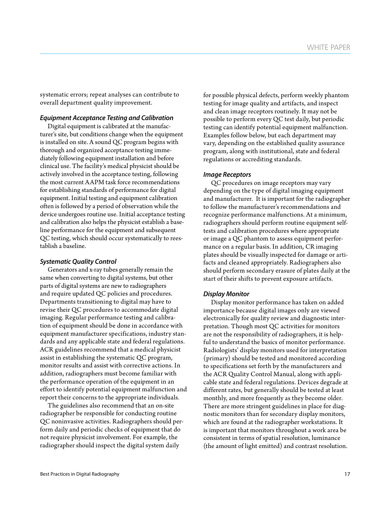systematic errors; repeat analyses can contribute to overall department quality improvement.

#### *Equipment Acceptance Testing and Calibration*

Digital equipment is calibrated at the manufacturer's site, but conditions change when the equipment is installed on site. A sound QC program begins with thorough and organized acceptance testing immediately following equipment installation and before clinical use. The facility's medical physicist should be actively involved in the acceptance testing, following the most current AAPM task force recommendations for establishing standards of performance for digital equipment. Initial testing and equipment calibration often is followed by a period of observation while the device undergoes routine use. Initial acceptance testing and calibration also helps the physicist establish a baseline performance for the equipment and subsequent QC testing, which should occur systematically to reestablish a baseline.

#### *Systematic Quality Control*

Generators and x-ray tubes generally remain the same when converting to digital systems, but other parts of digital systems are new to radiographers and require updated QC policies and procedures. Departments transitioning to digital may have to revise their QC procedures to accommodate digital imaging. Regular performance testing and calibration of equipment should be done in accordance with equipment manufacturer specifications, industry standards and any applicable state and federal regulations. ACR guidelines recommend that a medical physicist assist in establishing the systematic QC program, monitor results and assist with corrective actions. In addition, radiographers must become familiar with the performance operation of the equipment in an effort to identify potential equipment malfunction and report their concerns to the appropriate individuals.

The guidelines also recommend that an on-site radiographer be responsible for conducting routine QC noninvasive activities. Radiographers should perform daily and periodic checks of equipment that do not require physicist involvement. For example, the radiographer should inspect the digital system daily

for possible physical defects, perform weekly phantom testing for image quality and artifacts, and inspect and clean image receptors routinely. It may not be possible to perform every QC test daily, but periodic testing can identify potential equipment malfunction. Examples follow below, but each department may vary, depending on the established quality assurance program, along with institutional, state and federal regulations or accrediting standards.

#### *Image Receptors*

QC procedures on image receptors may vary depending on the type of digital imaging equipment and manufacturer. It is important for the radiographer to follow the manufacturer's recommendations and recognize performance malfunctions. At a minimum, radiographers should perform routine equipment selftests and calibration procedures where appropriate or image a QC phantom to assess equipment performance on a regular basis. In addition, CR imaging plates should be visually inspected for damage or artifacts and cleaned appropriately. Radiographers also should perform secondary erasure of plates daily at the start of their shifts to prevent exposure artifacts.

#### *Display Monitor*

Display monitor performance has taken on added importance because digital images only are viewed electronically for quality review and diagnostic interpretation. Though most QC activities for monitors are not the responsibility of radiographers, it is helpful to understand the basics of monitor performance. Radiologists' display monitors used for interpretation (primary) should be tested and monitored according to specifications set forth by the manufacturers and the ACR Quality Control Manual, along with applicable state and federal regulations. Devices degrade at different rates, but generally should be tested at least monthly, and more frequently as they become older. There are more stringent guidelines in place for diagnostic monitors than for secondary display monitors, which are found at the radiographer workstations. It is important that monitors throughout a work area be consistent in terms of spatial resolution, luminance (the amount of light emitted) and contrast resolution.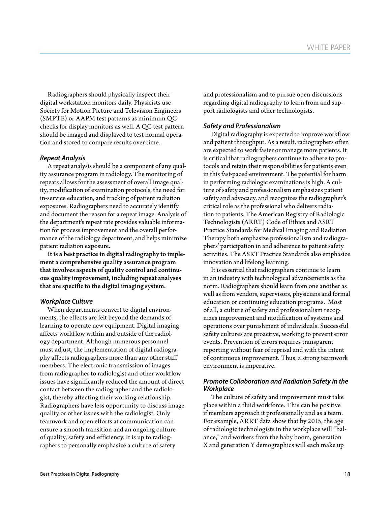Radiographers should physically inspect their digital workstation monitors daily. Physicists use Society for Motion Picture and Television Engineers (SMPTE) or AAPM test patterns as minimum QC checks for display monitors as well. A QC test pattern should be imaged and displayed to test normal operation and stored to compare results over time.

#### *Repeat Analysis*

A repeat analysis should be a component of any quality assurance program in radiology. The monitoring of repeats allows for the assessment of overall image quality, modification of examination protocols, the need for in-service education, and tracking of patient radiation exposures. Radiographers need to accurately identify and document the reason for a repeat image. Analysis of the department's repeat rate provides valuable information for process improvement and the overall performance of the radiology department, and helps minimize patient radiation exposure.

It is a best practice in digital radiography to implement a comprehensive quality assurance program that involves aspects of quality control and continuous quality improvement, including repeat analyses that are specific to the digital imaging system.

#### *Workplace Culture*

When departments convert to digital environments, the effects are felt beyond the demands of learning to operate new equipment. Digital imaging affects workflow within and outside of the radiology department. Although numerous personnel must adjust, the implementation of digital radiography affects radiographers more than any other staff members. The electronic transmission of images from radiographer to radiologist and other workflow issues have significantly reduced the amount of direct contact between the radiographer and the radiologist, thereby affecting their working relationship. Radiographers have less opportunity to discuss image quality or other issues with the radiologist. Only teamwork and open efforts at communication can ensure a smooth transition and an ongoing culture of quality, safety and efficiency. It is up to radiographers to personally emphasize a culture of safety

and professionalism and to pursue open discussions regarding digital radiography to learn from and support radiologists and other technologists.

#### *Safety and Professionalism*

Digital radiography is expected to improve workflow and patient throughput. As a result, radiographers often are expected to work faster or manage more patients. It is critical that radiographers continue to adhere to protocols and retain their responsibilities for patients even in this fast-paced environment. The potential for harm in performing radiologic examinations is high. A culture of safety and professionalism emphasizes patient safety and advocacy, and recognizes the radiographer's critical role as the professional who delivers radiation to patients. The American Registry of Radiologic Technologists (ARRT) Code of Ethics and ASRT Practice Standards for Medical Imaging and Radiation Therapy both emphasize professionalism and radiographers' participation in and adherence to patient safety activities. The ASRT Practice Standards also emphasize innovation and lifelong learning.

It is essential that radiographers continue to learn in an industry with technological advancements as the norm. Radiographers should learn from one another as well as from vendors, supervisors, physicians and formal education or continuing education programs. Most of all, a culture of safety and professionalism recognizes improvement and modification of systems and operations over punishment of individuals. Successful safety cultures are proactive, working to prevent error events. Prevention of errors requires transparent reporting without fear of reprisal and with the intent of continuous improvement. Thus, a strong teamwork environment is imperative.

#### *Promote Collaboration and Radiation Safety in the Workplace*

The culture of safety and improvement must take place within a fluid workforce. This can be positive if members approach it professionally and as a team. For example, ARRT data show that by 2015, the age of radiologic technologists in the workplace will "balance," and workers from the baby boom, generation X and generation Y demographics will each make up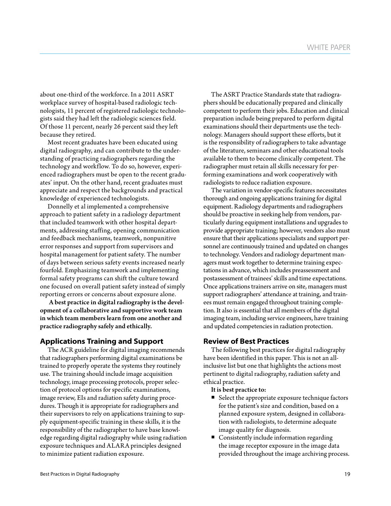about one-third of the workforce. In a 2011 ASRT workplace survey of hospital-based radiologic technologists, 11 percent of registered radiologic technologists said they had left the radiologic sciences field. Of those 11 percent, nearly 26 percent said they left because they retired.

Most recent graduates have been educated using digital radiography, and can contribute to the understanding of practicing radiographers regarding the technology and workflow. To do so, however, experienced radiographers must be open to the recent graduates' input. On the other hand, recent graduates must appreciate and respect the backgrounds and practical knowledge of experienced technologists.

Donnelly et al implemented a comprehensive approach to patient safety in a radiology department that included teamwork with other hospital departments, addressing staffing, opening communication and feedback mechanisms, teamwork, nonpunitive error responses and support from supervisors and hospital management for patient safety. The number of days between serious safety events increased nearly fourfold. Emphasizing teamwork and implementing formal safety programs can shift the culture toward one focused on overall patient safety instead of simply reporting errors or concerns about exposure alone.

A best practice in digital radiography is the development of a collaborative and supportive work team in which team members learn from one another and practice radiography safely and ethically.

#### **Applications Training and Support**

The ACR guideline for digital imaging recommends that radiographers performing digital examinations be trained to properly operate the systems they routinely use. The training should include image acquisition technology, image processing protocols, proper selection of protocol options for specific examinations, image review, EIs and radiation safety during procedures. Though it is appropriate for radiographers and their supervisors to rely on applications training to supply equipment-specific training in these skills, it is the responsibility of the radiographer to have base knowledge regarding digital radiography while using radiation exposure techniques and ALARA principles designed to minimize patient radiation exposure.

The ASRT Practice Standards state that radiographers should be educationally prepared and clinically competent to perform their jobs. Education and clinical preparation include being prepared to perform digital examinations should their departments use the technology. Managers should support these efforts, but it is the responsibility of radiographers to take advantage of the literature, seminars and other educational tools available to them to become clinically competent. The radiographer must retain all skills necessary for performing examinations and work cooperatively with radiologists to reduce radiation exposure.

The variation in vendor-specific features necessitates thorough and ongoing applications training for digital equipment. Radiology departments and radiographers should be proactive in seeking help from vendors, particularly during equipment installations and upgrades to provide appropriate training; however, vendors also must ensure that their applications specialists and support personnel are continuously trained and updated on changes to technology. Vendors and radiology department managers must work together to determine training expectations in advance, which includes preassessment and postassessment of trainees' skills and time expectations. Once applications trainers arrive on site, managers must support radiographers' attendance at training, and trainees must remain engaged throughout training completion. It also is essential that all members of the digital imaging team, including service engineers, have training and updated competencies in radiation protection.

## **Review of Best Practices**

The following best practices for digital radiography have been identified in this paper. This is not an allinclusive list but one that highlights the actions most pertinent to digital radiography, radiation safety and ethical practice.

It is best practice to:

- Select the appropriate exposure technique factors for the patient's size and condition, based on a planned exposure system, designed in collaboration with radiologists, to determine adequate image quality for diagnosis.
- Consistently include information regarding the image receptor exposure in the image data provided throughout the image archiving process.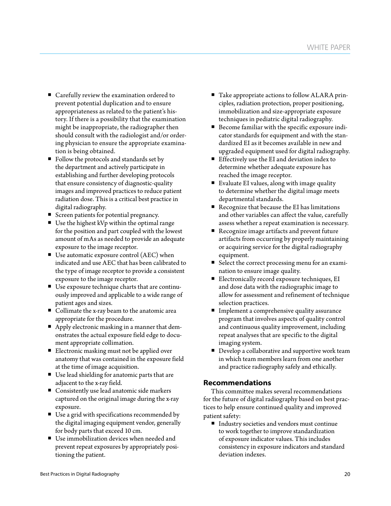- Carefully review the examination ordered to prevent potential duplication and to ensure appropriateness as related to the patient's history. If there is a possibility that the examination might be inappropriate, the radiographer then should consult with the radiologist and/or ordering physician to ensure the appropriate examination is being obtained.
- Follow the protocols and standards set by the department and actively participate in establishing and further developing protocols that ensure consistency of diagnostic-quality images and improved practices to reduce patient radiation dose. This is a critical best practice in digital radiography.
- Screen patients for potential pregnancy.
- Use the highest kVp within the optimal range for the position and part coupled with the lowest amount of mAs as needed to provide an adequate exposure to the image receptor.
- Use automatic exposure control (AEC) when indicated and use AEC that has been calibrated to the type of image receptor to provide a consistent exposure to the image receptor.
- Use exposure technique charts that are continuously improved and applicable to a wide range of patient ages and sizes.
- Collimate the x-ray beam to the anatomic area appropriate for the procedure.
- Apply electronic masking in a manner that demonstrates the actual exposure field edge to document appropriate collimation.
- **Electronic masking must not be applied over** anatomy that was contained in the exposure field at the time of image acquisition.
- Use lead shielding for anatomic parts that are adjacent to the x-ray field.
- **Consistently use lead anatomic side markers** captured on the original image during the x-ray exposure.
- Use a grid with specifications recommended by the digital imaging equipment vendor, generally for body parts that exceed 10 cm.
- Use immobilization devices when needed and prevent repeat exposures by appropriately positioning the patient.
- Take appropriate actions to follow ALARA principles, radiation protection, proper positioning, immobilization and size-appropriate exposure techniques in pediatric digital radiography.
- Become familiar with the specific exposure indicator standards for equipment and with the standardized EI as it becomes available in new and upgraded equipment used for digital radiography.
- Effectively use the EI and deviation index to determine whether adequate exposure has reached the image receptor.
- Evaluate EI values, along with image quality to determine whether the digital image meets departmental standards.
- Recognize that because the EI has limitations and other variables can affect the value, carefully assess whether a repeat examination is necessary.
- Recognize image artifacts and prevent future artifacts from occurring by properly maintaining or acquiring service for the digital radiography equipment.
- Select the correct processing menu for an examination to ensure image quality.
- Electronically record exposure techniques, EI and dose data with the radiographic image to allow for assessment and refinement of technique selection practices.
- **Implement a comprehensive quality assurance** program that involves aspects of quality control and continuous quality improvement, including repeat analyses that are specific to the digital imaging system.
- Develop a collaborative and supportive work team in which team members learn from one another and practice radiography safely and ethically.

## **Recommendations**

This committee makes several recommendations for the future of digital radiography based on best practices to help ensure continued quality and improved patient safety:

■ Industry societies and vendors must continue to work together to improve standardization of exposure indicator values. This includes consistency in exposure indicators and standard deviation indexes.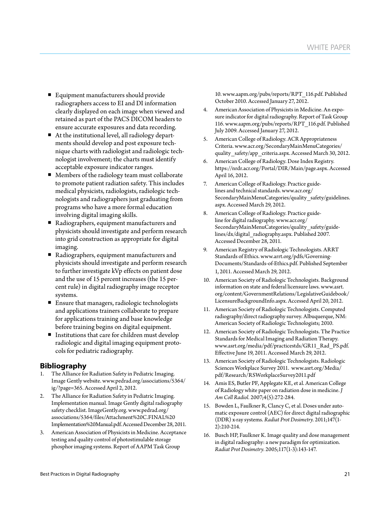- Equipment manufacturers should provide radiographers access to EI and DI information clearly displayed on each image when viewed and retained as part of the PACS DICOM headers to ensure accurate exposures and data recording.
- At the institutional level, all radiology departments should develop and post exposure technique charts with radiologist and radiologic technologist involvement; the charts must identify acceptable exposure indicator ranges.
- Members of the radiology team must collaborate to promote patient radiation safety. This includes medical physicists, radiologists, radiologic technologists and radiographers just graduating from programs who have a more formal education involving digital imaging skills.
- Radiographers, equipment manufacturers and physicists should investigate and perform research into grid construction as appropriate for digital imaging.
- Radiographers, equipment manufacturers and physicists should investigate and perform research to further investigate kVp effects on patient dose and the use of 15 percent increases (the 15 percent rule) in digital radiography image receptor systems.
- Ensure that managers, radiologic technologists and applications trainers collaborate to prepare for applications training and base knowledge before training begins on digital equipment.
- Institutions that care for children must develop radiologic and digital imaging equipment protocols for pediatric radiography.

## **Bibliography**

- 1. The Alliance for Radiation Safety in Pediatric Imaging. Image Gently website. www.pedrad.org/associations/5364/ ig/?page=365. Accessed April 2, 2012.
- 2. The Alliance for Radiation Safety in Pediatric Imaging. Implementation manual. Image Gently digital radiography safety checklist. ImageGently.org. www.pedrad.org/ associations/5364/files/Attachment%20C.FINAL%20 Implementation%20Manual.pdf. Accessed December 28, 2011.
- 3. American Association of Physicists in Medicine. Acceptance testing and quality control of photostimulable storage phosphor imaging systems. Report of AAPM Task Group

10. www.aapm.org/pubs/reports/RPT\_116.pdf. Published October 2010. Accessed January 27, 2012.

- 4. American Association of Physicists in Medicine. An exposure indicator for digital radiography. Report of Task Group 116. www.aapm.org/pubs/reports/RPT\_116.pdf. Published July 2009. Accessed January 27, 2012.
- 5. American College of Radiology. ACR Appropriateness Criteria. www.acr.org/SecondaryMainMenuCategories/ quality safety/app criteria.aspx. Accessed March 30, 2012.
- 6. American College of Radiology. Dose Index Registry. https://nrdr.acr.org/Portal/DIR/Main/page.aspx. Accessed April 16, 2012.
- 7. American College of Radiology. Practice guidelines and technical standards. www.acr.org/ SecondaryMainMenuCategories/quality\_safety/guidelines. aspx. Accessed March 29, 2012.
- 8. American College of Radiology. Practice guideline for digital radiography. www.acr.org/ SecondaryMainMenuCategories/quality\_safety/guidelines/dx/digital\_radiography.aspx. Published 2007. Accessed December 28, 2011.
- 9. American Registry of Radiologic Technologists. ARRT Standards of Ethics. www.arrt.org/pdfs/Governing-Documents/Standards-of-Ethics.pdf. Published September 1, 2011. Accessed March 29, 2012.
- 10. American Society of Radiologic Technologists. Background information on state and federal licensure laws. www.asrt. org/content/GovernmentRelations/LegislativeGuidebook/ LicensureBackgroundInfo.aspx. Accessed April 20, 2012.
- 11. American Society of Radiologic Technologists. Computed radiography/direct radiography survey. Albuquerque, NM: American Society of Radiologic Technologists; 2010.
- 12. American Society of Radiologic Technologists. The Practice Standards for Medical Imaging and Radiation Therapy. www.asrt.org/media/pdf/practicestds/GR11\_Rad\_PS.pdf. Effective June 19, 2011. Accessed March 29, 2012.
- 13. American Society of Radiologic Technologists. Radiologic Sciences Workplace Survey 2011. www.asrt.org/Media/ pdf/Research/RSWorkplaceSurvey2011.pdf
- 14. Amis ES, Butler PF, Applegate KE, et al. American College of Radiology white paper on radiation dose in medicine. *J Am Coll Radiol.* 2007;4(5):272-284.
- 15. Bowden L, Faulkner R, Clancy C, et al. Doses under automatic exposure control (AEC) for direct digital radiographic (DDR) x-ray systems. *Radiat Prot Dosimetry.* 2011;147(1- 2):210-214.
- 16. Busch HP, Faulkner K. Image quality and dose management in digital radiography: a new paradigm for optimization. *Radiat Prot Dosimetry.* 2005;117(1-3):143-147.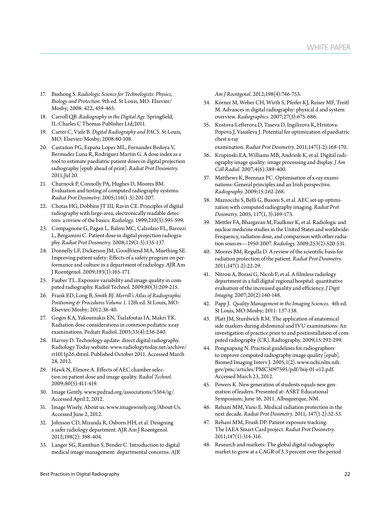- 17. Bushong S. *Radiologic Science for Technologists: Physics, Biology and Protection.* 9th ed. St Louis, MO: Elsevier/ Mosby; 2008: 422; 459-465.
- 18. Carroll QB. *Radiography in the Digital Age.* Springfield, IL:Charles C Thomas Publisher Ltd;2011.
- 19. Carter C, Viele B. *Digital Radiography and PACS.* St Louis, MO: Elsevier/Mosby; 2008:80-108.
- 20. Castañon PG, España Lopez ML, Fernandez Bedoya V, Bermudez Luna R, Rodriguez Martin G. A dose index as a tool to estimate paediatric patient doses in digital projection radiography [epub ahead of print]. *Radiat Prot Dosimetry.*  2011;Jul 20.
- 21. Charnock P, Connolly PA, Hughes D, Moores BM. Evaluation and testing of computed radiography systems. *Radiat Prot Dosimetry.* 2005;114(1-3):201-207.
- 22. Chotas HG, Dobbins JT III, Ravin CE. Principles of digital radiography with large-area, electronically readable detectors: a review of the basics. *Radiology.* 1999;210(3):595-599.
- 23. Compagnone G, Pagan L, Baleni MC, Calzolaio FL, Barozzi L, Bergamini C. Patient dose in digital projection radiography. *Radiat Prot Dosimetry.* 2008;129(1-3):135-137.
- 24. Donnelly LF, Dickerson JM, Goodfriend MA, Muething SE. Improving patient safety: Effects of a safety program on performance and culture in a department of radiology. AJR Am J Roentgenol. 2009;193(1):165-171.
- 25. Fauber TL. Exposure variability and image quality in computed radiography. Radiol Technol. 2009;80(3):209-215.
- 26. Frank ED, Long B, *Smith BJ. Merrill's Atlas of Radiographic Positioning & Procedures Volume 1.* 12th ed. St Louis, MO: Elsevier/Mosby; 2012:36-40.
- 27. Gogos KA, Yakoumakis EN, Tsalafoutas IA, Makri TK. Radiation dose considerations in common pediatric x-ray examinations. Pediatr Radiol. 2003;33(4):236-240.
- 28. Harvey D. Technology update: direct digital radiography. Radiology Today website. www.radiologytoday.net/archive/ rt1011p26.shtml. Published October 2011. Accessed March 28, 2012.
- 29. Hawk N, Elmore A. Effects of AEC chamber selection on patient dose and image quality. *Radiol Technol.*  2009;80(5):411-419.
- 30. Image Gently. www.pedrad.org/associations/5364/ig/. Accessed April 2, 2012.
- 31. Image Wisely. About us. www.imagewisely.org/About-Us. Accessed June 2, 2012.
- 32. Johnson CD, Miranda R, Osborn HH, et al. Designing a safer radiology department. AJR Am J Roentgenol. 2012;198(2): 398-404.
- 33. Langer SG, Ramthun S, Bender C. Introduction to digital medical image management: departmental concerns. *AJR*

*Am J Roentgenol.* 2012;198(4):746-753.

- 34. Körner M, Weber CH, Wirth S, Pfeifer KJ, Reiser MF, Treitl M. Advances in digital radiography: physical d and system overview. *Radiographics.* 2007;27(3):675-686.
- 35. Kostova-Lefterova D, Taseva D, Ingilizova K, Hristova-Popova J, Vassileva J. Potential for optimization of paediatric chest x-ray
	- examination. *Radiat Prot Dosimetry.* 2011;147(1-2):168-170.
- 36. Krupinski EA, Williams MB, Andriole K, et al. Digital radiography image quality: image processing and display. *J Am Coll Radiol.* 2007;4(6):389-400.
- 37. Matthews K, Brennan PC. Optimisation of x-ray examinations: General principles and an Irish perspective. *Radiography.* 2009;15:262-268.
- 38. Mazzocchi S, Belli G, Busoni S, et al. AEC set-up optimization with computed radiography imaging. *Radiat Prot Dosimetry.* 2005; 117(1, 3):169-173.
- 39. Mettler FA, Bhargavan M, Faulkner K, et al. Radiologic and nuclear medicine studies in the United States and worldwide: Frequency, radiation dose, and comparison with other radiation sources—1950-2007. *Radiology.* 2009;253(2):520-531.
- 40. Moores BM, Regulla D. A review of the scientific basis for radiation protection of the patient. *Radiat Prot Dosimetry.*  2011;147(1-2):22-29.
- 41. Nitrosi A, Borasi G, Nicoli F, et al. A filmless radiology department in a full digital regional hospital: quantitative evaluation of the increased quality and efficiency. *J Digit Imaging.* 2007;20(2):140-148.
- 42. Papp J. *Quality Management in the Imaging Sciences.* 4th ed. St Louis, MO:Mosby; 2011: 137-138.
- 43. Platt JM, Sturdwich RM. The application of anatomical side markers during abdominal and IVU examinations: An investigation of practice prior to and postinstallation of computed radiography (CR). Radiography. 2009;15:292-299.
- 44. Pongnapang N. Practical guidelines for radiographers to improve computed radiography image quality [epub]. Biomed Imaging Interv J. 2005;1(2). www.ncbi.nlm.nih. gov/pmc/articles/PMC3097595/pdf/biij-01-e12.pdf. Accessed March 23, 2012.
- 45. Powers K. New generation of students equals new generation of leaders. Presented at: ASRT Educational Symposium; June 16, 2011. Albuquerque, NM.
- 46. Rehani MM, Vano E. Medical radiation protection in the next decade. *Radiat Prot Dosimetry.* 2011; 147(1-2):52-53.
- 47. Rehani MM, Frush DP. Patient exposure tracking: The IAEA Smart Card project. *Radiat Prot Dosimetry.*  2011;147(1):314-316.
- 48. Research and markets: The global digital radiography market to grow at a CAGR of 3.3 percent over the period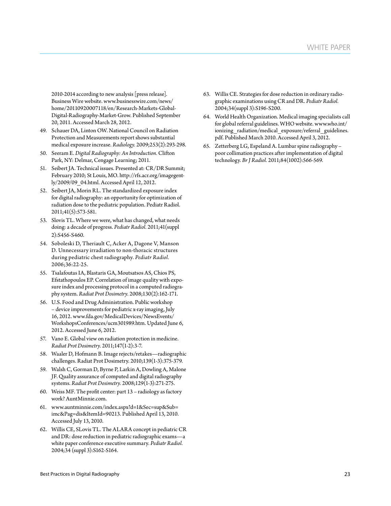2010-2014 according to new analysis [press release]. Business Wire website. www.businesswire.com/news/ home/20110920007118/en/Research-Markets-Global-Digital-Radiography-Market-Grow. Published September 20, 2011. Accessed March 28, 2012.

- 49. Schauer DA, Linton OW. National Council on Radiation Protection and Measurements report shows substantial medical exposure increase. *Radiology.* 2009;253(2):293-298.
- 50. Seeram E. *Digital Radiography: An Introduction.* Clifton Park, NY: Delmar, Cengage Learning; 2011.
- 51. Seibert JA. Technical issues. Presented at: CR/DR Summit; February 2010; St Louis, MO. http://rfs.acr.org/imagegently/2009/09\_04.html. Accessed April 12, 2012.
- 52. Seibert JA, Morin RL. The standardized exposure index for digital radiography: an opportunity for optimization of radiation dose to the pediatric population. Pediatr Radiol. 2011;41(5):573-581.
- 53. Slovis TL. Where we were, what has changed, what needs doing: a decade of progress. *Pediatr Radiol.* 2011;41(suppl 2):S456-S460.
- 54. Soboleski D, Theriault C, Acker A, Dagone V, Manson D. Unnecessary irradiation to non-thoracic structures during pediatric chest radiography. *Pediatr Radiol.* 2006;36:22-25.
- 55. Tsalafoutas IA, Blastaris GA, Moutsatsos AS, Chios PS, Efstathopoulos EP. Correlation of image quality with exposure index and processing protocol in a computed radiography system. *Radiat Prot Dosimetry.* 2008;130(2):162-171.
- 56. U.S. Food and Drug Administration. Public workshop – device improvements for pediatric x-ray imaging, July 16, 2012. www.fda.gov/MedicalDevices/NewsEvents/ WorkshopsConferences/ucm301989.htm. Updated June 6, 2012. Accessed June 6, 2012.
- 57. Vano E. Global view on radiation protection in medicine. *Radiat Prot Dosimetry.* 2011;147(1-2):3-7.
- 58. Waaler D, Hofmann B. Image rejects/retakes—radiographic challenges. Radiat Prot Dosimetry. 2010;139(1-3):375-379.
- 59. Walsh C, Gorman D, Byrne P, Larkin A, Dowling A, Malone JF. Quality assurance of computed and digital radiography systems. *Radiat Prot Dosimetry.* 2008;129(1-3):271-275.
- 60. Weiss MF. The profit center: part 13 radiology as factory work? AuntMinnie.com.
- 61. www.auntminnie.com/index.aspx?d=1&Sec=sup&Sub= imc&Pag=dis&ItemId=90213. Published April 13, 2010. Accessed July 13, 2010.
- 62. Willis CE, SLovis TL. The ALARA concept in pediatric CR and DR: dose reduction in pediatric radiographic exams—a white paper conference executive summary. *Pediatr Radiol.* 2004;34 (suppl 3):S162-S164.
- 63. Willis CE. Strategies for dose reduction in ordinary radiographic examinations using CR and DR. *Pediatr Radiol.*  2004;34(suppl 3):S196-S200.
- 64. World Health Organization. Medical imaging specialists call for global referral guidelines. WHO website. www.who.int/ ionizing radiation/medical exposure/referral guidelines. pdf. Published March 2010. Accessed April 3, 2012.
- 65. Zetterberg LG, Espeland A. Lumbar spine radiography poor collimation practices after implementation of digital technology. *Br J Radiol.* 2011;84(1002):566-569.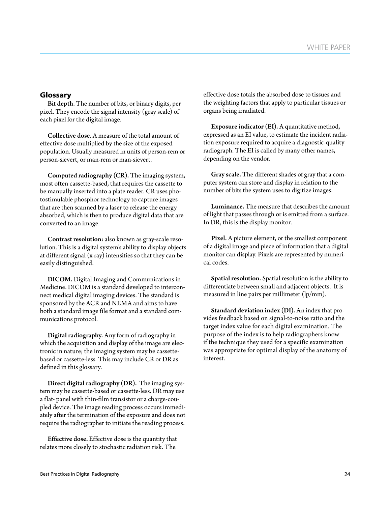## **Glossary**

Bit depth. The number of bits, or binary digits, per pixel. They encode the signal intensity (gray scale) of each pixel for the digital image.

Collective dose. A measure of the total amount of effective dose multiplied by the size of the exposed population. Usually measured in units of person-rem or person-sievert, or man-rem or man-sievert.

Computed radiography (CR). The imaging system, most often cassette-based, that requires the cassette to be manually inserted into a plate reader. CR uses photostimulable phosphor technology to capture images that are then scanned by a laser to release the energy absorbed, which is then to produce digital data that are converted to an image.

Contrast resolution: also known as gray-scale resolution. This is a digital system's ability to display objects at different signal (x-ray) intensities so that they can be easily distinguished.

DICOM. Digital Imaging and Communications in Medicine. DICOM is a standard developed to interconnect medical digital imaging devices. The standard is sponsored by the ACR and NEMA and aims to have both a standard image file format and a standard communications protocol.

Digital radiography. Any form of radiography in which the acquisition and display of the image are electronic in nature; the imaging system may be cassettebased or cassette-less This may include CR or DR as defined in this glossary.

Direct digital radiography (DR). The imaging system may be cassette-based or cassette-less. DR may use a flat- panel with thin-film transistor or a charge-coupled device. The image reading process occurs immediately after the termination of the exposure and does not require the radiographer to initiate the reading process.

Effective dose. Effective dose is the quantity that relates more closely to stochastic radiation risk. The

effective dose totals the absorbed dose to tissues and the weighting factors that apply to particular tissues or organs being irradiated.

Exposure indicator (EI). A quantitative method, expressed as an EI value, to estimate the incident radiation exposure required to acquire a diagnostic-quality radiograph. The EI is called by many other names, depending on the vendor.

Gray scale. The different shades of gray that a computer system can store and display in relation to the number of bits the system uses to digitize images.

Luminance. The measure that describes the amount of light that passes through or is emitted from a surface. In DR, this is the display monitor.

Pixel. A picture element, or the smallest component of a digital image and piece of information that a digital monitor can display. Pixels are represented by numerical codes.

Spatial resolution. Spatial resolution is the ability to differentiate between small and adjacent objects. It is measured in line pairs per millimeter (lp/mm).

Standard deviation index (DI). An index that provides feedback based on signal-to-noise ratio and the target index value for each digital examination. The purpose of the index is to help radiographers know if the technique they used for a specific examination was appropriate for optimal display of the anatomy of interest.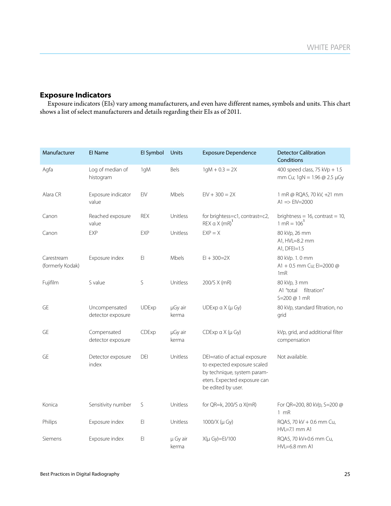## **Exposure Indicators**

Exposure indicators (EIs) vary among manufacturers, and even have different names, symbols and units. This chart shows a list of select manufacturers and details regarding their EIs as of 2011.

| Manufacturer                   | El Name                            | El Symbol    | <b>Units</b>      | <b>Exposure Dependence</b>                                                                                                                       | <b>Detector Calibration</b><br>Conditions                       |
|--------------------------------|------------------------------------|--------------|-------------------|--------------------------------------------------------------------------------------------------------------------------------------------------|-----------------------------------------------------------------|
| Agfa                           | Log of median of<br>histogram      | 1gM          | Bels              | $1qM + 0.3 = 2X$                                                                                                                                 | 400 speed class, 75 kVp + $1.5$<br>mm Cu; 1gN = 1.96 @ 2.5 µGy  |
| Alara CR                       | Exposure indicator<br>value        | EIV          | <b>Mbels</b>      | $EIV + 300 = 2X$                                                                                                                                 | 1 mR @ RQA5, 70 kV, +21 mm<br>$A1 \implies EIV = 2000$          |
| Canon                          | Reached exposure<br>value          | <b>REX</b>   | Unitless          | for brightess=c1, contrast=c2,<br>$REX$ $\alpha$ $X$ (mR) <sup>1</sup>                                                                           | brightness = $16$ , contrast = $10$ ,<br>$1 \text{ mR} = 106^1$ |
| Canon                          | EXP                                | EXP          | Unitless          | $EXP = X$                                                                                                                                        | 80 kVp, 26 mm<br>A1, HVL=8.2 mm<br>A1, DFEI=1.5                 |
| Carestream<br>(formerly Kodak) | Exposure index                     | EI           | Mbels             | $EI + 300 = 2X$                                                                                                                                  | 80 kVp. 1.0 mm<br>A1 + 0.5 mm Cu; EI=2000 @<br>1mR              |
| Fujifilm                       | S value                            | S            | Unitless          | 200/S X (mR)                                                                                                                                     | 80 kVp, 3 mm<br>A1 "total<br>filtration"<br>S=200 @ 1 mR        |
| GE                             | Uncompensated<br>detector exposure | <b>UDExp</b> | µGy air<br>kerma  | UDExp $\alpha$ X ( $\mu$ Gy)                                                                                                                     | 80 kVp, standard filtration, no<br>grid                         |
| GE                             | Compensated<br>detector exposure   | CDExp        | µGy air<br>kerma  | $C$ DExp $\alpha$ X ( $\mu$ Gy)                                                                                                                  | kVp, grid, and additional filter<br>compensation                |
| GE                             | Detector exposure<br>index         | DEI          | Unitless          | DEl≈ratio of actual exposure<br>to expected exposure scaled<br>by technique, system param-<br>eters. Expected exposure can<br>be edited by user. | Not available.                                                  |
| Konica                         | Sensitivity number                 | $\mathsf S$  | Unitless          | for QR=k, 200/S a X(mR)                                                                                                                          | For QR=200, 80 kVp, S=200 @<br>$1 \, mR$                        |
| Philips                        | Exposure index                     | $E$          | Unitless          | 1000/X (µ Gy)                                                                                                                                    | RQA5, 70 kV + 0.6 mm Cu,<br>HVL=7.1 mm A1                       |
| Siemens                        | Exposure index                     | E1           | µ Gy air<br>kerma | $X(\mu Gy)=E1/100$                                                                                                                               | RQA5, 70 kV+0.6 mm Cu,<br>$HVL=6.8$ mm A1                       |